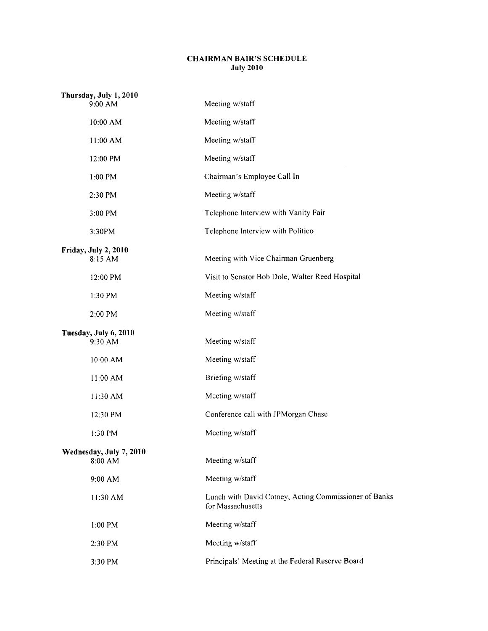## CHAIRMAN BAIR'S SCHEDULE July 2010

| Thursday, July 1, 2010<br>9:00 AM  | Meeting w/staff                                                            |
|------------------------------------|----------------------------------------------------------------------------|
| 10:00 AM                           | Meeting w/staff                                                            |
| 11:00 AM                           | Meeting w/staff                                                            |
| 12:00 PM                           | Meeting w/staff                                                            |
| 1:00 PM                            | Chairman's Employee Call In                                                |
| 2:30 PM                            | Meeting w/staff                                                            |
| 3:00 PM                            | Telephone Interview with Vanity Fair                                       |
| 3:30PM                             | Telephone Interview with Politico                                          |
| Friday, July 2, 2010<br>8:15 AM    | Meeting with Vice Chairman Gruenberg                                       |
| 12:00 PM                           | Visit to Senator Bob Dole, Walter Reed Hospital                            |
| 1:30 PM                            | Meeting w/staff                                                            |
| 2:00 PM                            | Meeting w/staff                                                            |
| Tuesday, July 6, 2010<br>9:30 AM   | Meeting w/staff                                                            |
| 10:00 AM                           | Meeting w/staff                                                            |
| 11:00 AM                           | Briefing w/staff                                                           |
| 11:30 AM                           | Meeting w/staff                                                            |
| 12:30 PM                           | Conference call with JPMorgan Chase                                        |
| 1:30 PM                            | Meeting w/staff                                                            |
| Wednesday, July 7, 2010<br>8:00 AM | Meeting w/staff                                                            |
| 9:00 AM                            | Meeting w/staff                                                            |
| 11:30 AM                           | Lunch with David Cotney, Acting Commissioner of Banks<br>for Massachusetts |
| 1:00 PM                            | Meeting w/staff                                                            |
| 2:30 PM                            | Meeting w/staff                                                            |
| 3:30 PM                            | Principals' Meeting at the Federal Reserve Board                           |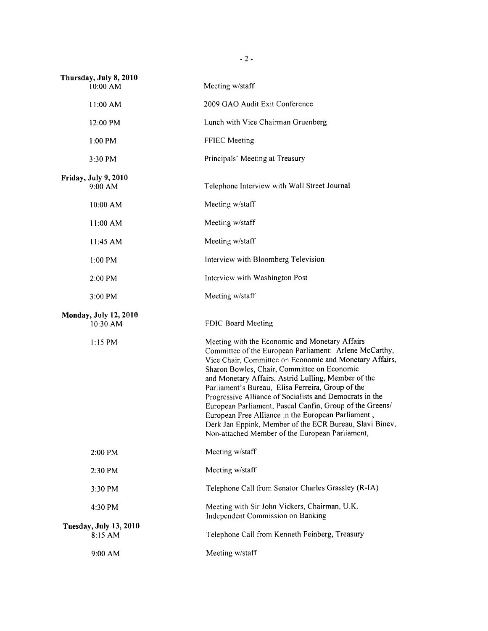| Thursday, July 8, 2010<br>10:00 AM       | Meeting w/staff                                                                                                                                                                                                                                                                                                                                                                                                                                                                                                                                                                                                           |
|------------------------------------------|---------------------------------------------------------------------------------------------------------------------------------------------------------------------------------------------------------------------------------------------------------------------------------------------------------------------------------------------------------------------------------------------------------------------------------------------------------------------------------------------------------------------------------------------------------------------------------------------------------------------------|
| 11:00 AM                                 | 2009 GAO Audit Exit Conference                                                                                                                                                                                                                                                                                                                                                                                                                                                                                                                                                                                            |
| 12:00 PM                                 | Lunch with Vice Chairman Gruenberg                                                                                                                                                                                                                                                                                                                                                                                                                                                                                                                                                                                        |
| $1:00$ PM                                | FFIEC Meeting                                                                                                                                                                                                                                                                                                                                                                                                                                                                                                                                                                                                             |
| $3:30$ PM                                | Principals' Meeting at Treasury                                                                                                                                                                                                                                                                                                                                                                                                                                                                                                                                                                                           |
| Friday, July 9, 2010<br>9:00 AM          | Telephone Interview with Wall Street Journal                                                                                                                                                                                                                                                                                                                                                                                                                                                                                                                                                                              |
| 10:00 AM                                 | Meeting w/staff                                                                                                                                                                                                                                                                                                                                                                                                                                                                                                                                                                                                           |
| 11:00 AM                                 | Meeting w/staff                                                                                                                                                                                                                                                                                                                                                                                                                                                                                                                                                                                                           |
| 11:45 AM                                 | Meeting w/staff                                                                                                                                                                                                                                                                                                                                                                                                                                                                                                                                                                                                           |
| $1:00$ PM                                | Interview with Bloomberg Television                                                                                                                                                                                                                                                                                                                                                                                                                                                                                                                                                                                       |
| $2:00$ PM                                | Interview with Washington Post                                                                                                                                                                                                                                                                                                                                                                                                                                                                                                                                                                                            |
| $3:00$ PM                                | Meeting w/staff                                                                                                                                                                                                                                                                                                                                                                                                                                                                                                                                                                                                           |
| <b>Monday, July 12, 2010</b><br>10:30 AM | FDIC Board Meeting                                                                                                                                                                                                                                                                                                                                                                                                                                                                                                                                                                                                        |
| $1:15$ PM                                | Meeting with the Economic and Monetary Affairs<br>Committee of the European Parliament: Arlene McCarthy,<br>Vice Chair, Committee on Economic and Monetary Affairs,<br>Sharon Bowles, Chair, Committee on Economic<br>and Monetary Affairs, Astrid Lulling, Member of the<br>Parliament's Bureau, Elisa Ferreira, Group of the<br>Progressive Alliance of Socialists and Democrats in the<br>European Parliament, Pascal Canfin, Group of the Greens/<br>European Free Alliance in the European Parliament,<br>Derk Jan Eppink, Member of the ECR Bureau, Slavi Binev,<br>Non-attached Member of the European Parliament, |
| 2:00 PM                                  | Meeting w/staff                                                                                                                                                                                                                                                                                                                                                                                                                                                                                                                                                                                                           |
| 2:30 PM                                  | Meeting w/staff                                                                                                                                                                                                                                                                                                                                                                                                                                                                                                                                                                                                           |
| 3:30 PM                                  | Telephone Call from Senator Charles Grassley (R-IA)                                                                                                                                                                                                                                                                                                                                                                                                                                                                                                                                                                       |
| 4:30 PM                                  | Meeting with Sir John Vickers, Chairman, U.K.<br>Independent Commission on Banking                                                                                                                                                                                                                                                                                                                                                                                                                                                                                                                                        |
| Tuesday, July 13, 2010<br>8:15 AM        | Telephone Call from Kenneth Feinberg, Treasury                                                                                                                                                                                                                                                                                                                                                                                                                                                                                                                                                                            |
| 9:00 AM                                  | Meeting w/staff                                                                                                                                                                                                                                                                                                                                                                                                                                                                                                                                                                                                           |

- 2 -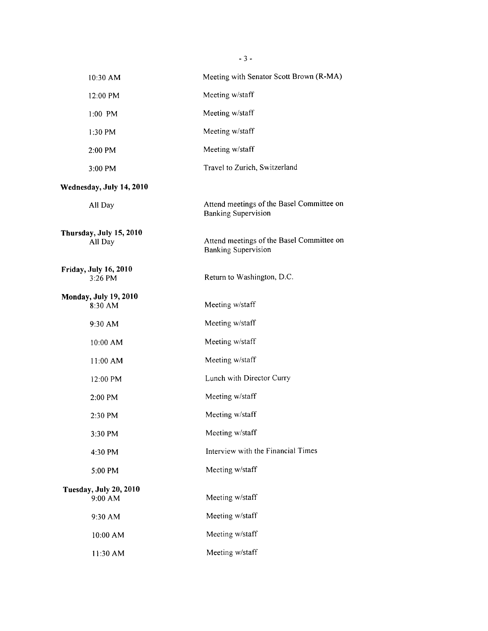|                                   | 10:30 AM                                | Meeting with Senator Scott Brown (R-MA)                                 |
|-----------------------------------|-----------------------------------------|-------------------------------------------------------------------------|
|                                   | 12:00 PM                                | Meeting w/staff                                                         |
|                                   | $1:00$ PM                               | Meeting w/staff                                                         |
|                                   | 1:30 PM                                 | Meeting w/staff                                                         |
|                                   | 2:00 PM                                 | Meeting w/staff                                                         |
|                                   | 3:00 PM                                 | Travel to Zurich, Switzerland                                           |
|                                   | Wednesday, July 14, 2010                |                                                                         |
|                                   | All Day                                 | Attend meetings of the Basel Committee on<br><b>Banking Supervision</b> |
|                                   | Thursday, July 15, 2010<br>All Day      | Attend meetings of the Basel Committee on<br><b>Banking Supervision</b> |
|                                   | <b>Friday, July 16, 2010</b><br>3:26 PM | Return to Washington, D.C.                                              |
|                                   | <b>Monday, July 19, 2010</b><br>8:30 AM | Meeting w/staff                                                         |
|                                   | 9:30 AM                                 | Meeting w/staff                                                         |
|                                   | 10:00 AM                                | Meeting w/staff                                                         |
|                                   | 11:00 AM                                | Meeting w/staff                                                         |
|                                   | 12:00 PM                                | Lunch with Director Curry                                               |
|                                   | 2:00 PM                                 | Meeting w/staff                                                         |
|                                   | 2:30 PM                                 | Meeting w/staff                                                         |
|                                   | 3:30 PM                                 | Meeting w/staff                                                         |
|                                   | 4:30 PM                                 | Interview with the Financial Times                                      |
|                                   | 5:00 PM                                 | Meeting w/staff                                                         |
| Tuesday, July 20, 2010<br>9:00 AM |                                         | Meeting w/staff                                                         |
|                                   | 9:30 AM                                 | Meeting w/staff                                                         |
|                                   | 10:00 AM                                | Meeting w/staff                                                         |
|                                   | 11:30 AM                                | Meeting w/staff                                                         |

- 3 -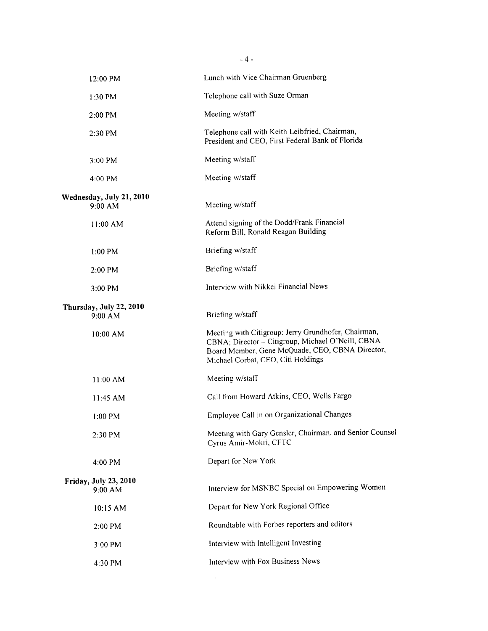|                                         | $-4-$                                                                                                                                                                                             |
|-----------------------------------------|---------------------------------------------------------------------------------------------------------------------------------------------------------------------------------------------------|
| 12:00 PM                                | Lunch with Vice Chairman Gruenberg                                                                                                                                                                |
| 1:30 PM                                 | Telephone call with Suze Orman                                                                                                                                                                    |
| $2:00$ PM                               | Meeting w/staff                                                                                                                                                                                   |
| 2:30 PM                                 | Telephone call with Keith Leibfried, Chairman,<br>President and CEO, First Federal Bank of Florida                                                                                                |
| 3:00 PM                                 | Meeting w/staff                                                                                                                                                                                   |
| 4:00 PM                                 | Meeting w/staff                                                                                                                                                                                   |
| Wednesday, July 21, 2010<br>$9:00$ AM   | Meeting w/staff                                                                                                                                                                                   |
| $11:00$ AM                              | Attend signing of the Dodd/Frank Financial<br>Reform Bill, Ronald Reagan Building                                                                                                                 |
| $1:00$ PM                               | Briefing w/staff                                                                                                                                                                                  |
| $2:00$ PM                               | Briefing w/staff                                                                                                                                                                                  |
| 3:00 PM                                 | Interview with Nikkei Financial News                                                                                                                                                              |
| Thursday, July 22, 2010<br>9:00 AM      | Briefing w/staff                                                                                                                                                                                  |
| $10:00$ AM                              | Meeting with Citigroup: Jerry Grundhofer, Chairman,<br>CBNA; Director - Citigroup, Michael O'Neill, CBNA<br>Board Member, Gene McQuade, CEO, CBNA Director,<br>Michael Corbat, CEO, Citi Holdings |
| 11:00 AM                                | Meeting w/staff                                                                                                                                                                                   |
| 11:45 AM                                | Call from Howard Atkins, CEO, Wells Fargo                                                                                                                                                         |
| 1:00 PM                                 | Employee Call in on Organizational Changes                                                                                                                                                        |
| 2:30 PM                                 | Meeting with Gary Gensler, Chairman, and Senior Counsel<br>Cyrus Amir-Mokri, CFTC                                                                                                                 |
| 4:00 PM                                 | Depart for New York                                                                                                                                                                               |
| <b>Friday, July 23, 2010</b><br>9:00 AM | Interview for MSNBC Special on Empowering Women                                                                                                                                                   |
| 10:15 AM                                | Depart for New York Regional Office                                                                                                                                                               |
| 2:00 PM                                 | Roundtable with Forbes reporters and editors                                                                                                                                                      |
| 3:00 PM                                 | Interview with Intelligent Investing                                                                                                                                                              |
| 4:30 PM                                 | Interview with Fox Business News                                                                                                                                                                  |
|                                         |                                                                                                                                                                                                   |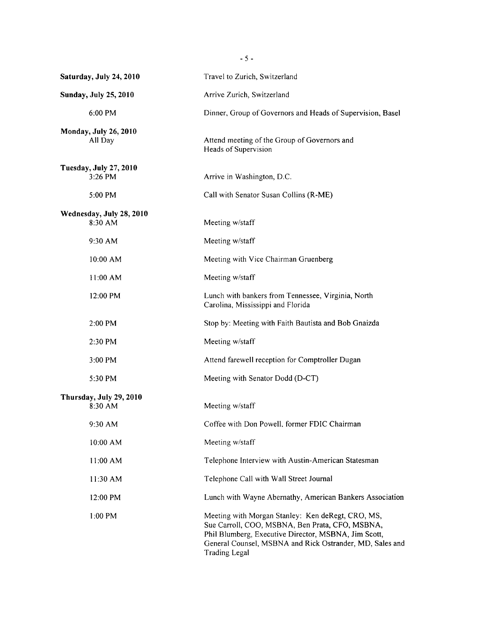| Saturday, July 24, 2010             | Travel to Zurich, Switzerland                                                                                                                                                                                                                    |
|-------------------------------------|--------------------------------------------------------------------------------------------------------------------------------------------------------------------------------------------------------------------------------------------------|
| <b>Sunday, July 25, 2010</b>        | Arrive Zurich, Switzerland                                                                                                                                                                                                                       |
| 6:00 PM                             | Dinner, Group of Governors and Heads of Supervision, Basel                                                                                                                                                                                       |
| Monday, July 26, 2010<br>All Day    | Attend meeting of the Group of Governors and<br>Heads of Supervision                                                                                                                                                                             |
| Tuesday, July 27, 2010<br>3:26 PM   | Arrive in Washington, D.C.                                                                                                                                                                                                                       |
| 5:00 PM                             | Call with Senator Susan Collins (R-ME)                                                                                                                                                                                                           |
| Wednesday, July 28, 2010<br>8:30 AM | Meeting w/staff                                                                                                                                                                                                                                  |
| 9:30 AM                             | Meeting w/staff                                                                                                                                                                                                                                  |
| 10:00 AM                            | Meeting with Vice Chairman Gruenberg                                                                                                                                                                                                             |
| 11:00 AM                            | Meeting w/staff                                                                                                                                                                                                                                  |
| 12:00 PM                            | Lunch with bankers from Tennessee, Virginia, North<br>Carolina, Mississippi and Florida                                                                                                                                                          |
| 2:00 PM                             | Stop by: Meeting with Faith Bautista and Bob Gnaizda                                                                                                                                                                                             |
| 2:30 PM                             | Meeting w/staff                                                                                                                                                                                                                                  |
| 3:00 PM                             | Attend farewell reception for Comptroller Dugan                                                                                                                                                                                                  |
| 5:30 PM                             | Meeting with Senator Dodd (D-CT)                                                                                                                                                                                                                 |
| Thursday, July 29, 2010<br>8:30 AM  | Meeting w/staff                                                                                                                                                                                                                                  |
| 9:30 AM                             | Coffee with Don Powell, former FDIC Chairman                                                                                                                                                                                                     |
| 10:00 AM                            | Meeting w/staff                                                                                                                                                                                                                                  |
| 11:00 AM                            | Telephone Interview with Austin-American Statesman                                                                                                                                                                                               |
| 11:30 AM                            | Telephone Call with Wall Street Journal                                                                                                                                                                                                          |
| 12:00 PM                            | Lunch with Wayne Abernathy, American Bankers Association                                                                                                                                                                                         |
| 1:00 PM                             | Meeting with Morgan Stanley: Ken deRegt, CRO, MS,<br>Sue Carroll, COO, MSBNA, Ben Prata, CFO, MSBNA,<br>Phil Blumberg, Executive Director, MSBNA, Jim Scott,<br>General Counsel, MSBNA and Rick Ostrander, MD, Sales and<br><b>Trading Legal</b> |

 $-5 -$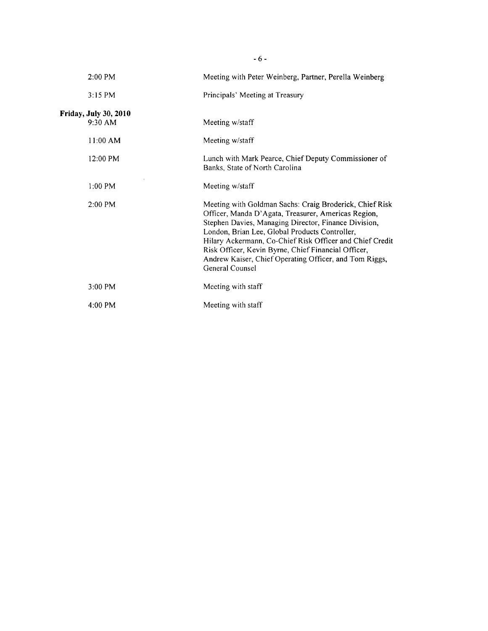| $2:00$ PM                                 | Meeting with Peter Weinberg, Partner, Perella Weinberg                                                                                                                                                                                                                                                                                                                                                                   |
|-------------------------------------------|--------------------------------------------------------------------------------------------------------------------------------------------------------------------------------------------------------------------------------------------------------------------------------------------------------------------------------------------------------------------------------------------------------------------------|
| $3:15$ PM                                 | Principals' Meeting at Treasury                                                                                                                                                                                                                                                                                                                                                                                          |
| <b>Friday, July 30, 2010</b><br>$9:30$ AM | Meeting w/staff                                                                                                                                                                                                                                                                                                                                                                                                          |
| $11:00$ AM                                | Meeting w/staff                                                                                                                                                                                                                                                                                                                                                                                                          |
| $12:00 \text{ PM}$                        | Lunch with Mark Pearce, Chief Deputy Commissioner of<br>Banks, State of North Carolina                                                                                                                                                                                                                                                                                                                                   |
| $1:00$ PM                                 | Meeting w/staff                                                                                                                                                                                                                                                                                                                                                                                                          |
| $2:00 \text{ PM}$                         | Meeting with Goldman Sachs: Craig Broderick, Chief Risk<br>Officer, Manda D'Agata, Treasurer, Americas Region,<br>Stephen Davies, Managing Director, Finance Division,<br>London, Brian Lee, Global Products Controller,<br>Hilary Ackermann, Co-Chief Risk Officer and Chief Credit<br>Risk Officer, Kevin Byrne, Chief Financial Officer,<br>Andrew Kaiser, Chief Operating Officer, and Tom Riggs,<br>General Counsel |
| $3:00 \text{ PM}$                         | Meeting with staff                                                                                                                                                                                                                                                                                                                                                                                                       |
| $4:00$ PM                                 | Meeting with staff                                                                                                                                                                                                                                                                                                                                                                                                       |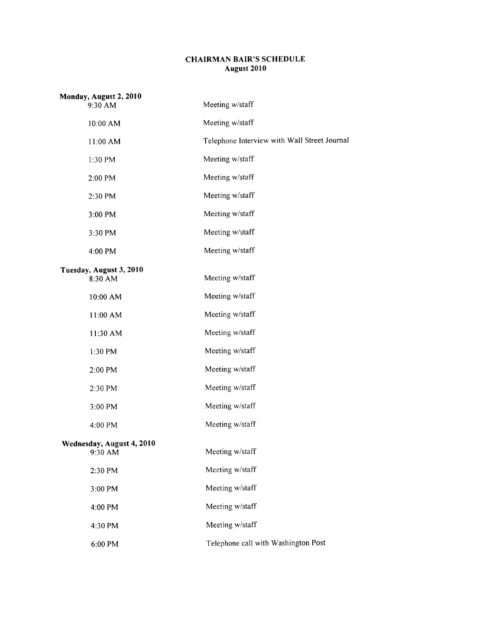## CHAIRMAN BAIR'S SCHEDULE August 2010

| Monday, August 2, 2010<br>9:30 AM    | Meeting w/staff                              |
|--------------------------------------|----------------------------------------------|
| 10:00 AM                             | Meeting w/staff                              |
| 11:00 AM                             | Telephone Interview with Wall Street Journal |
| 1:30 PM                              | Meeting w/staff                              |
| 2:00 PM                              | Meeting w/staff                              |
| 2:30 PM                              | Meeting w/staff                              |
| 3:00 PM                              | Meeting w/staff                              |
| 3:30 PM                              | Meeting w/staff                              |
| 4:00 PM                              | Meeting w/staff                              |
| Tuesday, August 3, 2010<br>8:30 AM   | Meeting w/staff                              |
| 10:00 AM                             | Meeting w/staff                              |
| 11:00 AM                             | Meeting w/staff                              |
| 11:30 AM                             | Meeting w/staff                              |
| 1:30 PM                              | Meeting w/staff                              |
| 2:00 PM                              | Meeting w/staff                              |
| 2:30 PM                              | Meeting w/staff                              |
| 3:00 PM                              | Meeting w/staff                              |
| 4:00 PM                              | Meeting w/staff                              |
| Wednesday, August 4, 2010<br>9:30 AM | Meeting w/staff                              |
| 2:30 PM                              | Meeting w/staff                              |
| 3:00 PM                              | Meeting w/staff                              |
| 4:00 PM                              | Meeting w/staff                              |
| 4:30 PM                              | Meeting w/staff                              |
| 6:00 PM                              | Telephone call with Washington Post          |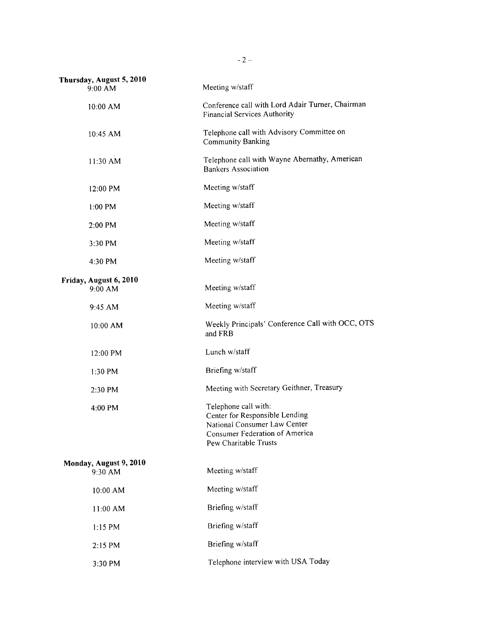| Thursday, August 5, 2010<br>9:00 AM | Meeting w/staff                                                                                                                                   |
|-------------------------------------|---------------------------------------------------------------------------------------------------------------------------------------------------|
| 10:00 AM                            | Conference call with Lord Adair Turner, Chairman<br>Financial Services Authority                                                                  |
| 10:45 AM                            | Telephone call with Advisory Committee on<br><b>Community Banking</b>                                                                             |
| 11:30 AM                            | Telephone call with Wayne Abernathy, American<br><b>Bankers Association</b>                                                                       |
| 12:00 PM                            | Meeting w/staff                                                                                                                                   |
| $1:00$ PM                           | Meeting w/staff                                                                                                                                   |
| 2:00 PM                             | Meeting w/staff                                                                                                                                   |
| 3:30 PM                             | Meeting w/staff                                                                                                                                   |
| 4:30 PM                             | Meeting w/staff                                                                                                                                   |
| Friday, August 6, 2010<br>9:00 AM   | Meeting w/staff                                                                                                                                   |
| 9:45 AM                             | Meeting w/staff                                                                                                                                   |
| 10:00 AM                            | Weekly Principals' Conference Call with OCC, OTS<br>and FRB                                                                                       |
| 12:00 PM                            | Lunch w/staff                                                                                                                                     |
| 1:30 PM                             | Briefing w/staff                                                                                                                                  |
| 2:30 PM                             | Meeting with Secretary Geithner, Treasury                                                                                                         |
| 4:00 PM                             | Telephone call with:<br>Center for Responsible Lending<br>National Consumer Law Center<br>Consumer Federation of America<br>Pew Charitable Trusts |
| Monday, August 9, 2010<br>9:30 AM   | Meeting w/staff                                                                                                                                   |
| 10:00 AM                            | Meeting w/staff                                                                                                                                   |
| 11:00 AM                            | Briefing w/staff                                                                                                                                  |
| 1:15 PM                             | Briefing w/staff                                                                                                                                  |
| 2:15 PM                             | Briefing w/staff                                                                                                                                  |
| 3:30 PM                             | Telephone interview with USA Today                                                                                                                |

 $- 2 -$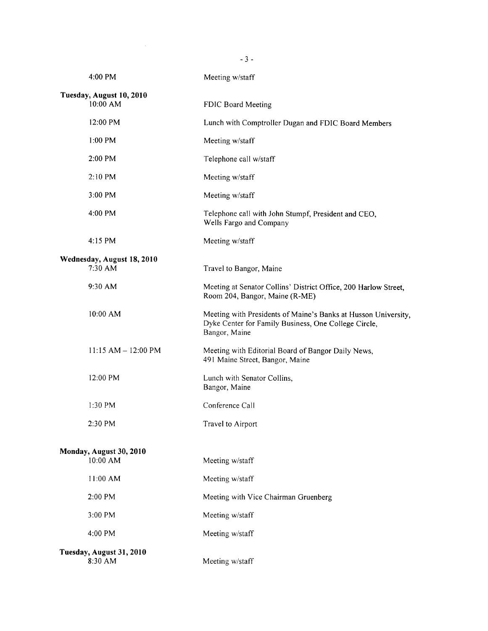| 4:00 PM                               | Meeting w/staff                                                                                                                         |  |
|---------------------------------------|-----------------------------------------------------------------------------------------------------------------------------------------|--|
| Tuesday, August 10, 2010<br>10:00 AM  | FDIC Board Meeting                                                                                                                      |  |
| 12:00 PM                              | Lunch with Comptroller Dugan and FDIC Board Members                                                                                     |  |
| $1:00$ PM                             | Meeting w/staff                                                                                                                         |  |
| 2:00 PM                               | Telephone call w/staff                                                                                                                  |  |
| 2:10 PM                               | Meeting w/staff                                                                                                                         |  |
| 3:00 PM                               | Meeting w/staff                                                                                                                         |  |
| 4:00 PM                               | Telephone call with John Stumpf, President and CEO,<br>Wells Fargo and Company                                                          |  |
| 4:15 PM                               | Meeting w/staff                                                                                                                         |  |
| Wednesday, August 18, 2010<br>7:30 AM | Travel to Bangor, Maine                                                                                                                 |  |
| 9:30 AM                               | Meeting at Senator Collins' District Office, 200 Harlow Street,<br>Room 204, Bangor, Maine (R-ME)                                       |  |
| 10:00 AM                              | Meeting with Presidents of Maine's Banks at Husson University,<br>Dyke Center for Family Business, One College Circle,<br>Bangor, Maine |  |
| $11:15 AM - 12:00 PM$                 | Meeting with Editorial Board of Bangor Daily News,<br>491 Maine Street, Bangor, Maine                                                   |  |
| 12:00 PM                              | Lunch with Senator Collins,<br>Bangor, Maine                                                                                            |  |
| 1:30 PM                               | Conference Call                                                                                                                         |  |
| 2:30 PM                               | Travel to Airport                                                                                                                       |  |
| Monday, August 30, 2010               |                                                                                                                                         |  |
| 10:00 AM                              | Meeting w/staff                                                                                                                         |  |
| 11:00 AM                              | Meeting w/staff                                                                                                                         |  |
| 2:00 PM                               | Meeting with Vice Chairman Gruenberg                                                                                                    |  |
| 3:00 PM                               | Meeting w/staff                                                                                                                         |  |
| 4:00 PM                               | Meeting w/staff                                                                                                                         |  |
| Tuesday, August 31, 2010<br>8:30 AM   | Meeting w/staff                                                                                                                         |  |

- 3 -

 $\label{eq:2.1} \frac{1}{\sqrt{2}}\int_{0}^{\infty}\frac{1}{\sqrt{2\pi}}\left(\frac{1}{\sqrt{2\pi}}\right)^{2\alpha} \frac{1}{\sqrt{2\pi}}\int_{0}^{\infty}\frac{1}{\sqrt{2\pi}}\left(\frac{1}{\sqrt{2\pi}}\right)^{\alpha} \frac{1}{\sqrt{2\pi}}\frac{1}{\sqrt{2\pi}}\int_{0}^{\infty}\frac{1}{\sqrt{2\pi}}\frac{1}{\sqrt{2\pi}}\frac{1}{\sqrt{2\pi}}\frac{1}{\sqrt{2\pi}}\frac{1}{\sqrt{2\pi}}\frac{1}{\sqrt{2\pi}}$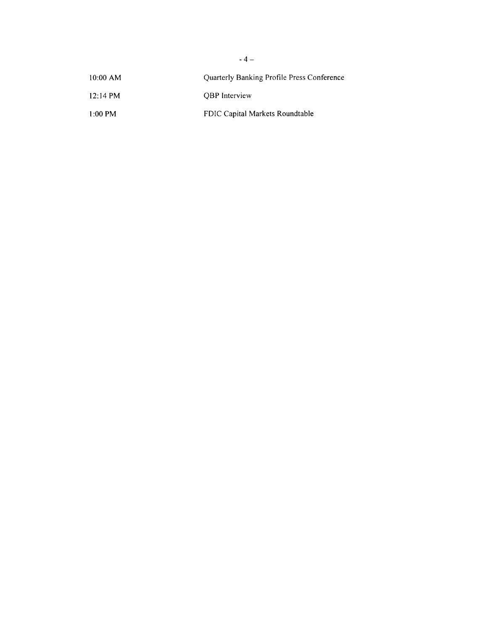| $10:00$ AM         | Quarterly Banking Profile Press Conference |
|--------------------|--------------------------------------------|
| $12:14 \text{ PM}$ | <b>OBP</b> Interview                       |
| $1:00 \text{ PM}$  | FDIC Capital Markets Roundtable            |

 $-4-$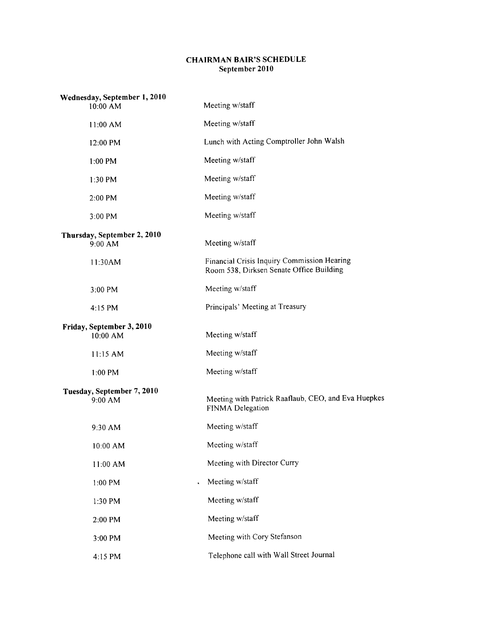## CHAIRMAN BAIR'S SCHEDULE September 2010

| Wednesday, September 1, 2010<br>10:00 AM | Meeting w/staff                                                                         |
|------------------------------------------|-----------------------------------------------------------------------------------------|
| 11:00 AM                                 | Meeting w/staff                                                                         |
| 12:00 PM                                 | Lunch with Acting Comptroller John Walsh                                                |
| 1:00 PM                                  | Meeting w/staff                                                                         |
| 1:30 PM                                  | Meeting w/staff                                                                         |
| 2:00 PM                                  | Meeting w/staff                                                                         |
| 3:00 PM                                  | Meeting w/staff                                                                         |
| Thursday, September 2, 2010<br>9:00 AM   | Meeting w/staff                                                                         |
| 11:30AM                                  | Financial Crisis Inquiry Commission Hearing<br>Room 538, Dirksen Senate Office Building |
| 3:00 PM                                  | Meeting w/staff                                                                         |
| $4:15$ PM                                | Principals' Meeting at Treasury                                                         |
| Friday, September 3, 2010<br>10:00 AM    | Meeting w/staff                                                                         |
| 11:15 AM                                 | Meeting w/staff                                                                         |
| 1:00 PM                                  | Meeting w/staff                                                                         |
| Tuesday, September 7, 2010<br>9:00 AM    | Meeting with Patrick Raaflaub, CEO, and Eva Huepkes<br>FINMA Delegation                 |
| 9:30 AM                                  | Meeting w/staff                                                                         |
| 10:00 AM                                 | Meeting w/staff                                                                         |
| 11:00 AM                                 | Meeting with Director Curry                                                             |
| 1:00 PM                                  | Meeting w/staff                                                                         |
| 1:30 PM                                  | Meeting w/staff                                                                         |
| 2:00 PM                                  | Meeting w/staff                                                                         |
| 3:00 PM                                  | Meeting with Cory Stefanson                                                             |
| 4:15 PM                                  | Telephone call with Wall Street Journal                                                 |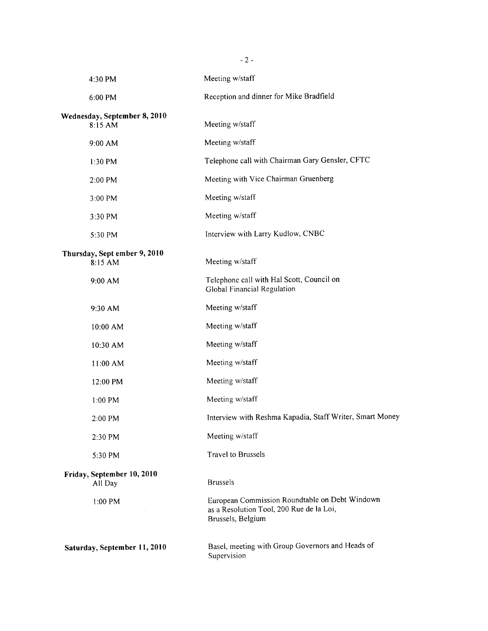| $-2-$                                   |                                                                                                                 |  |
|-----------------------------------------|-----------------------------------------------------------------------------------------------------------------|--|
| 4:30 PM                                 | Meeting w/staff                                                                                                 |  |
| 6:00 PM                                 | Reception and dinner for Mike Bradfield                                                                         |  |
| Wednesday, September 8, 2010<br>8:15 AM | Meeting w/staff                                                                                                 |  |
| 9:00 AM                                 | Meeting w/staff                                                                                                 |  |
| 1:30 PM                                 | Telephone call with Chairman Gary Gensler, CFTC                                                                 |  |
| 2:00 PM                                 | Meeting with Vice Chairman Gruenberg                                                                            |  |
| 3:00 PM                                 | Meeting w/staff                                                                                                 |  |
| 3:30 PM                                 | Meeting w/staff                                                                                                 |  |
| 5:30 PM                                 | Interview with Larry Kudlow, CNBC                                                                               |  |
| Thursday, Sept ember 9, 2010<br>8:15 AM | Meeting w/staff                                                                                                 |  |
| 9:00 AM                                 | Telephone call with Hal Scott, Council on<br>Global Financial Regulation                                        |  |
| 9:30 AM                                 | Meeting w/staff                                                                                                 |  |
| 10:00 AM                                | Meeting w/staff                                                                                                 |  |
| 10:30 AM                                | Meeting w/staff                                                                                                 |  |
| 11:00 AM                                | Meeting w/staff                                                                                                 |  |
| 12:00 PM                                | Meeting w/staff                                                                                                 |  |
| 1:00 PM                                 | Meeting w/staff                                                                                                 |  |
| 2:00 PM                                 | Interview with Reshma Kapadia, Staff Writer, Smart Money                                                        |  |
| 2:30 PM                                 | Meeting w/staff                                                                                                 |  |
| 5:30 PM                                 | <b>Travel to Brussels</b>                                                                                       |  |
| Friday, September 10, 2010<br>All Day   | <b>Brussels</b>                                                                                                 |  |
| 1:00 PM                                 | European Commission Roundtable on Debt Windown<br>as a Resolution Tool, 200 Rue de la Loi,<br>Brussels, Belgium |  |
| Saturday, September 11, 2010            | Basel, meeting with Group Governors and Heads of<br>Supervision                                                 |  |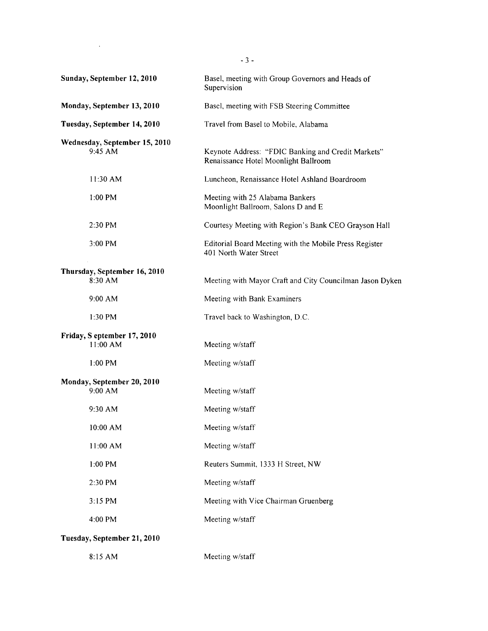| Sunday, September 12, 2010                 | Basel, meeting with Group Governors and Heads of<br>Supervision                            |
|--------------------------------------------|--------------------------------------------------------------------------------------------|
| Monday, September 13, 2010                 | Basel, meeting with FSB Steering Committee                                                 |
| Tuesday, September 14, 2010                | Travel from Basel to Mobile, Alabama                                                       |
| Wednesday, September 15, 2010<br>$9:45$ AM | Keynote Address: "FDIC Banking and Credit Markets"<br>Renaissance Hotel Moonlight Ballroom |
| 11:30 AM                                   | Luncheon, Renaissance Hotel Ashland Boardroom                                              |
| $1:00$ PM                                  | Meeting with 25 Alabama Bankers<br>Moonlight Ballroom, Salons D and E                      |
| 2:30 PM                                    | Courtesy Meeting with Region's Bank CEO Grayson Hall                                       |
| 3:00 PM                                    | Editorial Board Meeting with the Mobile Press Register<br>401 North Water Street           |
| Thursday, September 16, 2010<br>8:30 AM    | Meeting with Mayor Craft and City Councilman Jason Dyken                                   |
| 9:00 AM                                    | Meeting with Bank Examiners                                                                |
| 1:30 PM                                    | Travel back to Washington, D.C.                                                            |
| Friday, S eptember 17, 2010<br>11:00 AM    | Meeting w/staff                                                                            |
| $1:00$ PM                                  | Meeting w/staff                                                                            |
| Monday, September 20, 2010<br>9:00 AM      | Meeting w/staff                                                                            |
| $9:30$ AM                                  | Meeting w/staff                                                                            |
| 10:00 AM                                   | Meeting w/staff                                                                            |
| 11:00 AM                                   | Meeting w/staff                                                                            |
| 1:00 PM                                    | Reuters Summit, 1333 H Street, NW                                                          |
| 2:30 PM                                    | Meeting w/staff                                                                            |
| 3:15 PM                                    | Meeting with Vice Chairman Gruenberg                                                       |
| 4:00 PM                                    | Meeting w/staff                                                                            |
| Tuesday, September 21, 2010                |                                                                                            |
| 8:15 AM                                    | Meeting w/staff                                                                            |

- 3 -

 $\sim 10^{11}$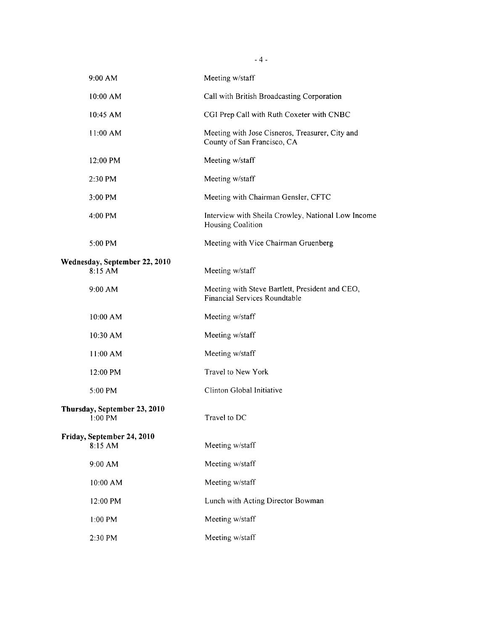| $9:00$ AM                                 | Meeting w/staff                                                                  |
|-------------------------------------------|----------------------------------------------------------------------------------|
| 10:00 AM                                  | Call with British Broadcasting Corporation                                       |
| $10:45$ AM                                | CGI Prep Call with Ruth Coxeter with CNBC                                        |
| 11:00 AM                                  | Meeting with Jose Cisneros, Treasurer, City and<br>County of San Francisco, CA   |
| 12:00 PM                                  | Meeting w/staff                                                                  |
| $2:30$ PM                                 | Meeting w/staff                                                                  |
| 3:00 PM                                   | Meeting with Chairman Gensler, CFTC                                              |
| $4:00$ PM                                 | Interview with Sheila Crowley, National Low Income<br>Housing Coalition          |
| 5:00 PM                                   | Meeting with Vice Chairman Gruenberg                                             |
| Wednesday, September 22, 2010<br>8:15 AM  | Meeting w/staff                                                                  |
| 9:00 AM                                   | Meeting with Steve Bartlett, President and CEO,<br>Financial Services Roundtable |
| 10:00 AM                                  | Meeting w/staff                                                                  |
| 10:30 AM                                  | Meeting w/staff                                                                  |
| 11:00 AM                                  | Meeting w/staff                                                                  |
| 12:00 PM                                  | Travel to New York                                                               |
| 5:00 PM                                   | Clinton Global Initiative                                                        |
| Thursday, September 23, 2010<br>$1:00$ PM | Travel to DC                                                                     |
| Friday, September 24, 2010<br>8:15 AM     | Meeting w/staff                                                                  |
| 9:00 AM                                   | Meeting w/staff                                                                  |
| 10:00 AM                                  | Meeting w/staff                                                                  |
| 12:00 PM                                  | Lunch with Acting Director Bowman                                                |
| 1:00 PM                                   | Meeting w/staff                                                                  |
| 2:30 PM                                   | Meeting w/staff                                                                  |

- 4 -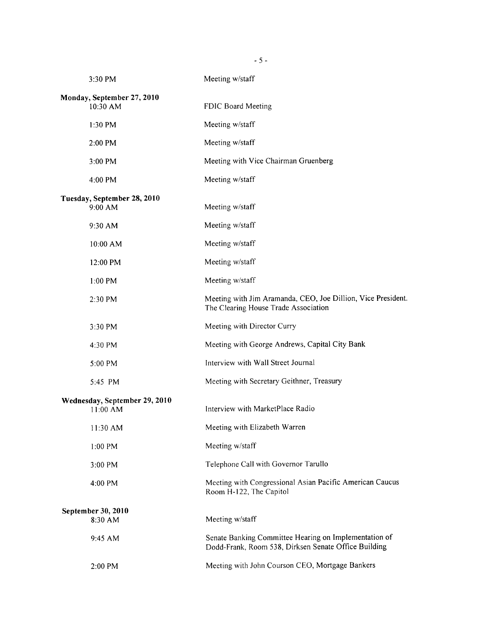| 3:30 PM                                   | Meeting w/staff                                                                                               |
|-------------------------------------------|---------------------------------------------------------------------------------------------------------------|
| Monday, September 27, 2010<br>10:30 AM    | FDIC Board Meeting                                                                                            |
| $1:30$ PM                                 | Meeting w/staff                                                                                               |
|                                           |                                                                                                               |
| 2:00 PM                                   | Meeting w/staff                                                                                               |
| 3:00 PM                                   | Meeting with Vice Chairman Gruenberg                                                                          |
| 4:00 PM                                   | Meeting w/staff                                                                                               |
| Tuesday, September 28, 2010<br>9:00 AM    | Meeting w/staff                                                                                               |
| 9:30 AM                                   | Meeting w/staff                                                                                               |
| 10:00 AM                                  | Meeting w/staff                                                                                               |
| 12:00 PM                                  | Meeting w/staff                                                                                               |
| $1:00$ PM                                 | Meeting w/staff                                                                                               |
| 2:30 PM                                   | Meeting with Jim Aramanda, CEO, Joe Dillion, Vice President.<br>The Clearing House Trade Association          |
| 3:30 PM                                   | Meeting with Director Curry                                                                                   |
| 4:30 PM                                   | Meeting with George Andrews, Capital City Bank                                                                |
| 5:00 PM                                   | Interview with Wall Street Journal                                                                            |
| 5:45 PM                                   | Meeting with Secretary Geithner, Treasury                                                                     |
| Wednesday, September 29, 2010<br>11:00 AM | Interview with MarketPlace Radio                                                                              |
| 11:30 AM                                  | Meeting with Elizabeth Warren                                                                                 |
| 1:00 PM                                   | Meeting w/staff                                                                                               |
| 3:00 PM                                   | Telephone Call with Governor Tarullo                                                                          |
| 4:00 PM                                   | Meeting with Congressional Asian Pacific American Caucus<br>Room H-122, The Capitol                           |
| September 30, 2010<br>8:30 AM             | Meeting w/staff                                                                                               |
| 9:45 AM                                   | Senate Banking Committee Hearing on Implementation of<br>Dodd-Frank, Room 538, Dirksen Senate Office Building |
| 2:00 PM                                   | Meeting with John Courson CEO, Mortgage Bankers                                                               |

 $-5 -$